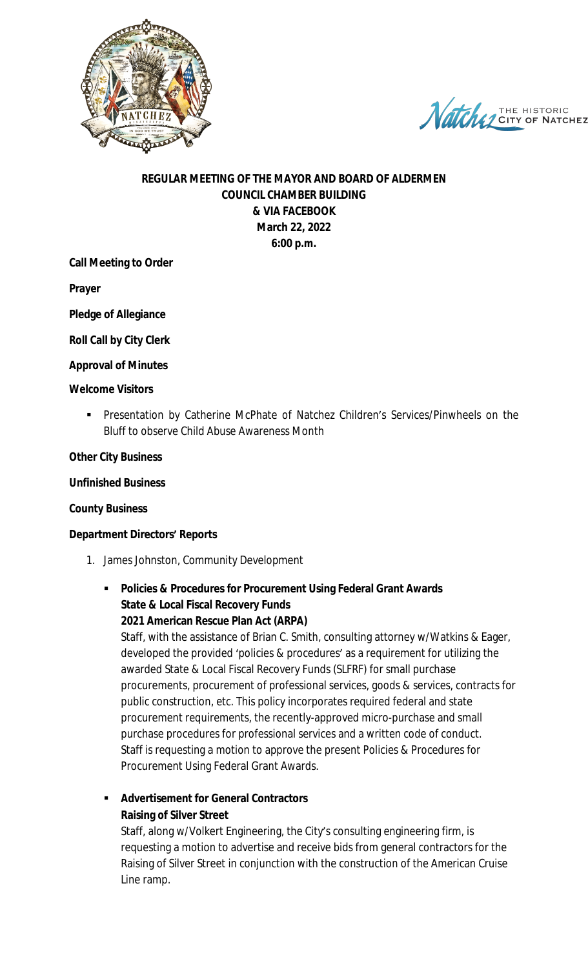

Natche THE HISTORIC

# **REGULAR MEETING OF THE MAYOR AND BOARD OF ALDERMEN COUNCIL CHAMBER BUILDING & VIA FACEBOOK March 22, 2022 6:00 p.m.**

## **Call Meeting to Order**

**Prayer**

**Pledge of Allegiance**

**Roll Call by City Clerk**

### **Approval of Minutes**

#### **Welcome Visitors**

 Presentation by Catherine McPhate of Natchez Children's Services/Pinwheels on the Bluff to observe Child Abuse Awareness Month

### **Other City Business**

#### **Unfinished Business**

### **County Business**

### **Department Directors' Reports**

- 1. James Johnston, Community Development
	- **Policies & Procedures for Procurement Using Federal Grant Awards State & Local Fiscal Recovery Funds 2021 American Rescue Plan Act (ARPA)**

Staff, with the assistance of Brian C. Smith, consulting attorney w/Watkins & Eager, developed the provided 'policies & procedures' as a requirement for utilizing the awarded State & Local Fiscal Recovery Funds (SLFRF) for small purchase procurements, procurement of professional services, goods & services, contracts for public construction, etc. This policy incorporates required federal and state procurement requirements, the recently-approved micro-purchase and small purchase procedures for professional services and a written code of conduct. Staff is requesting a motion to approve the present Policies & Procedures for Procurement Using Federal Grant Awards.

# **Advertisement for General Contractors Raising of Silver Street**

Staff, along w/Volkert Engineering, the City's consulting engineering firm, is requesting a motion to advertise and receive bids from general contractors for the Raising of Silver Street in conjunction with the construction of the American Cruise Line ramp.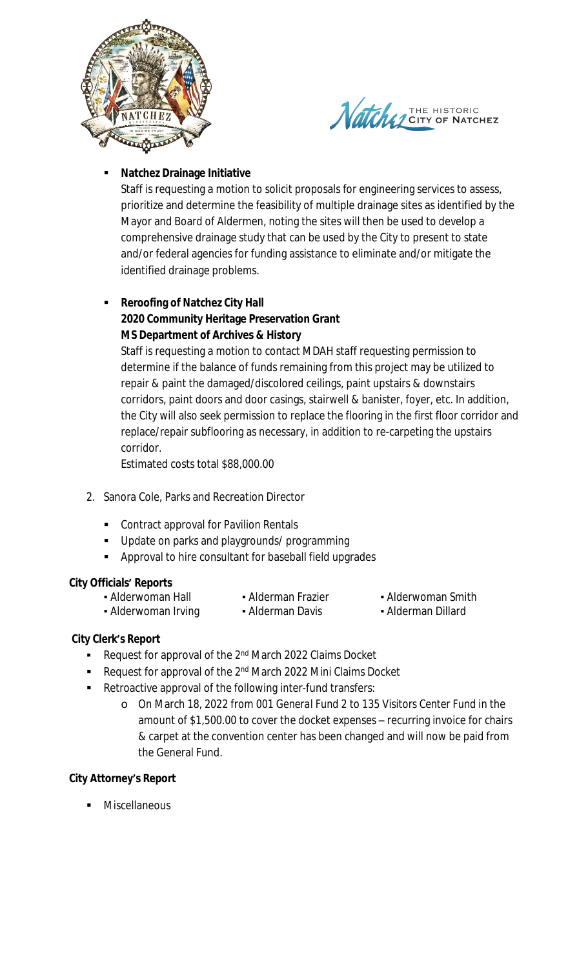



# **Natchez Drainage Initiative**

Staff is requesting a motion to solicit proposals for engineering services to assess, prioritize and determine the feasibility of multiple drainage sites as identified by the Mayor and Board of Aldermen, noting the sites will then be used to develop a comprehensive drainage study that can be used by the City to present to state and/or federal agencies for funding assistance to eliminate and/or mitigate the identified drainage problems.

## **Reroofing of Natchez City Hall 2020 Community Heritage Preservation Grant MS Department of Archives & History**

Staff is requesting a motion to contact MDAH staff requesting permission to determine if the balance of funds remaining from this project may be utilized to repair & paint the damaged/discolored ceilings, paint upstairs & downstairs corridors, paint doors and door casings, stairwell & banister, foyer, etc. In addition, the City will also seek permission to replace the flooring in the first floor corridor and replace/repair subflooring as necessary, in addition to re-carpeting the upstairs corridor.

Estimated costs total \$88,000.00

- 2. Sanora Cole, Parks and Recreation Director
	- **Contract approval for Pavilion Rentals**
	- **Update on parks and playgrounds/ programming**
	- **Approval to hire consultant for baseball field upgrades**

## **City Officials' Reports**

- 
- 
- Alderwoman Hall **•** Alderman Frazier  **Alderwoman Smith**
- Alderwoman Irving Alderman Davis Alderman Dillard

## **City Clerk's Report**

- Request for approval of the 2<sup>nd</sup> March 2022 Claims Docket
- Request for approval of the 2<sup>nd</sup> March 2022 Mini Claims Docket
- Retroactive approval of the following inter-fund transfers:
	- o On March 18, 2022 from *001 General Fund 2* to *135 Visitors Center Fund* in the amount of \$1,500.00 to cover the docket expenses – recurring invoice for chairs & carpet at the convention center has been changed and will now be paid from the General Fund.

# **City Attorney's Report**

Miscellaneous